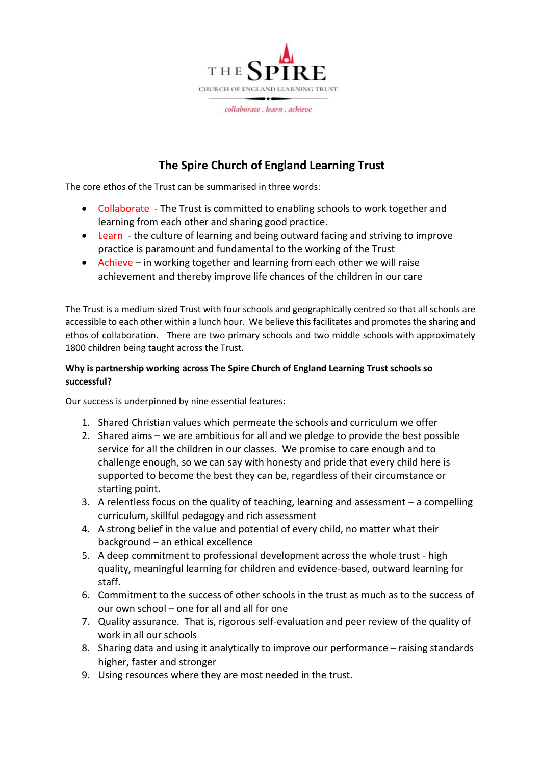

# **The Spire Church of England Learning Trust**

The core ethos of the Trust can be summarised in three words:

- Collaborate The Trust is committed to enabling schools to work together and learning from each other and sharing good practice.
- Learn the culture of learning and being outward facing and striving to improve practice is paramount and fundamental to the working of the Trust
- Achieve in working together and learning from each other we will raise achievement and thereby improve life chances of the children in our care

The Trust is a medium sized Trust with four schools and geographically centred so that all schools are accessible to each other within a lunch hour. We believe this facilitates and promotes the sharing and ethos of collaboration. There are two primary schools and two middle schools with approximately 1800 children being taught across the Trust.

## **Why is partnership working across The Spire Church of England Learning Trust schools so successful?**

Our success is underpinned by nine essential features:

- 1. Shared Christian values which permeate the schools and curriculum we offer
- 2. Shared aims we are ambitious for all and we pledge to provide the best possible service for all the children in our classes. We promise to care enough and to challenge enough, so we can say with honesty and pride that every child here is supported to become the best they can be, regardless of their circumstance or starting point.
- 3. A relentless focus on the quality of teaching, learning and assessment a compelling curriculum, skillful pedagogy and rich assessment
- 4. A strong belief in the value and potential of every child, no matter what their background – an ethical excellence
- 5. A deep commitment to professional development across the whole trust high quality, meaningful learning for children and evidence-based, outward learning for staff.
- 6. Commitment to the success of other schools in the trust as much as to the success of our own school – one for all and all for one
- 7. Quality assurance. That is, rigorous self-evaluation and peer review of the quality of work in all our schools
- 8. Sharing data and using it analytically to improve our performance raising standards higher, faster and stronger
- 9. Using resources where they are most needed in the trust.